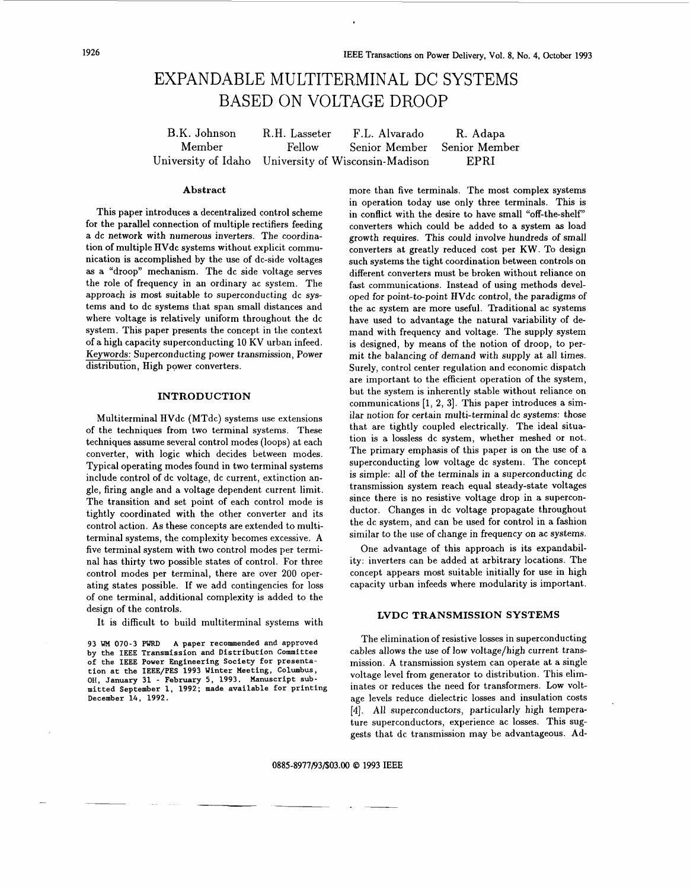# EXPANDABLE MULTITERMINAL DC SYSTEMS BASED ON VOLTAGE DROOP

B.K. Johnson R.H. Lasseter F.L. Alvarado R. Adapa Member Fellow Senior Member Senior Member University of Idaho University of Wisconsin-Madison EPRI

#### **Abstract**

This paper introduces a decentralized control scheme for the parallel connection of multiple rectifiers feeding a dc network with numerous inverters. The coordination of multiple HVdc systems without explicit communication is accomplished by the use of dc-side voltages **as** a "droop" mechanism. The dc side voltage serves the role of frequency in an ordinary ac system. The approach is most suitable to superconducting dc systems and to dc systems that span small distances and where voltage is relatively uniform throughout the dc system. This paper presents the concept in the context of a high capacity superconducting 10 KV urban infeed. Keywords: Superconducting power transmission, Power distribution, High power converters.

# **INTRODUCTION**

Multiterminal HVdc (MTdc) systems use extensions of the techniques from two terminal systems. These techniques assume several control modes (loops) at each converter, with logic which decides between modes. Typical operating modes found in two terminal systems include control of dc voltage, dc current, extinction angle, firing angle and a voltage dependent current limit. The transition and set point of each control mode is tightly coordinated with the other converter and its control action. **As** these concepts are extended to multiterminal systems, the complexity becomes excessive. A five terminal system with two control modes per terminal has thirty two possible states of control. For three control modes per terminal, there are over 200 operating states possible. If we add contingencies for loss of one terminal, additional complexity is added to the design of the controls.

It is difficult to build multiterminal systems with

**93 WM 070-3 PWRD A paper recommended and approved by the IEEE Transmission and Distribution Committee of the IEEE Power Engineering Society for presentation at the IEEE/PES 1993 Winter Meeting, Columbus, OH, January 31** - **February 5, 1993. Manuscript submitted September 1, 1992; made available for printing December** *14,* **1992.** 

more than five terminals. 'The most complex systems in operation today use only three terminals. This is in conflict with the desire to have small "off-the-shelf" converters which could be added to a system **as** load growth requires. This could involve hundreds of small converters at greatly reduced cost per KW. To design such systems the tight coordination between controls on different converters must be broken without reliance on fast communications. Instead of using methods developed for point-to-point HVdc control, the paradigms of the ac system are more useful. Traditional ac systems have used to advantage the natural variability of demand with frequency and voltage. The supply system is designed, by means of the notion of droop, to permit the balancing of demand with supply at all times. Surely, control center regulation and economic dispatch are important to the efficient operation of the system, but the system is inherently stable without reliance on communications **[l, 2, 31.** This paper introduces a similar notion for certain multi-terminal dc systems: those that are tightly coupled electrically. The ideal situation is a lossless dc system, whether meshed or not. The primary emphasis of this paper is on the use of a superconducting low voltage dc system. The concept is simple: all of the terminals in a superconducting dc transmission system reach equal steady-state voltages since there is no resistive voltage drop in a superconductor. Changes in dc voltage propagate throughout the dc system, and can be used for control in a fashion similar to the use of change in frequency on ac systems.

One advantage of this approach is its expandability: inverters can be added at arbitrary locations. The concept appears most suitable initially for use in high capacity urban infeeds where modularity is important.

## **LVDC TRANSMISSION SYSTEMS**

The elimination of resistive losses in superconducting cables allows the use of low voltage/high current transmission. A transmission system can operate at a single voltage level from generator to distribution. This eliminates or reduces the need for transformers. Low voltage levels reduce dielectric losses and insulation costs **[4].** All superconductors, particularly high temperature superconductors, experience ac losses. This suggests that dc transmission may be advantageous. Ad-

#### **0885-8977193/\$03.00** Q **1993 IEEE**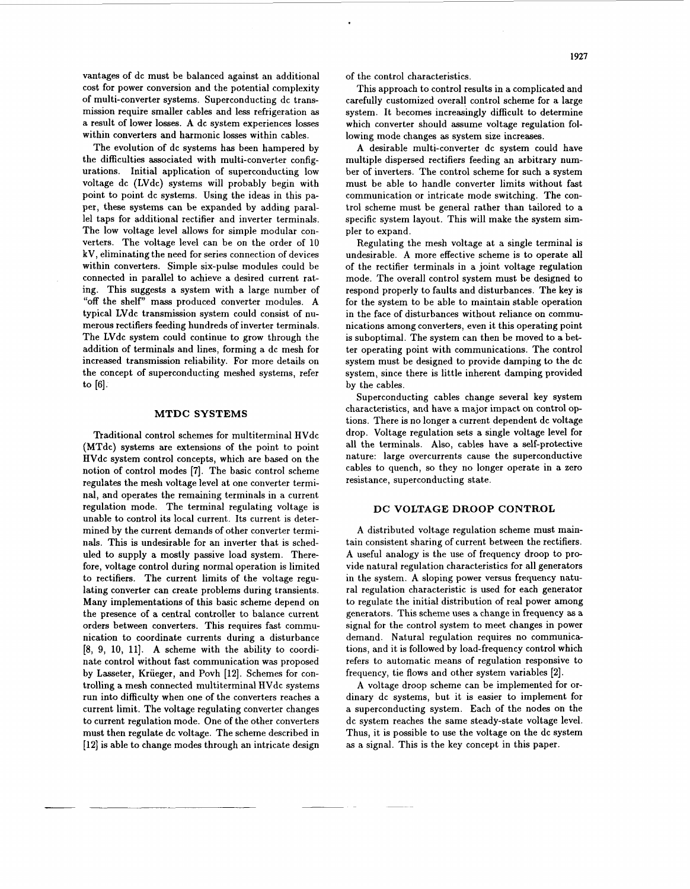vantages of dc must be balanced against an additional cost for power conversion and the potential complexity of multi-converter systems. Superconducting dc transmission require smaller cables and less refrigeration **as**  a result of lower losses. A dc system experiences losses within converters and harmonic losses within cables.

The evolution of dc systems has been hampered by the difficulties associated with multi-converter configurations. Initial application of superconducting low voltage dc (LVdc) systems will probably begin with point to point dc systems. Using the ideas in this paper, these systems can be expanded by adding parallel taps for additional rectifier and inverter terminals. The low voltage level allows for simple modular converters. The voltage level can be on the order of 10 kV, eliminating the need for series connection of devices within converters. Simple six-pulse modules could be connected in parallel to achieve a desired current rating. This suggests a system with a large number of "off the shelf'' mass produced converter modules. A typical LVdc transmission system could consist of numerous rectifiers feeding hundreds of inverter terminals. The LVdc system could continue to grow through the addition of terminals and lines, forming a dc mesh for increased transmission reliability. For more details on the concept of superconducting meshed systems, refer to **[SI.** 

## **MTDC SYSTEMS**

Traditional control schemes for multiterminal HVdc (MTdc) systems are extensions of the point to point HVdc system control concepts, which are based on the notion of control modes **[7].** The basic control scheme regulates the mesh voltage level at one converter terminal, and operates the remaining terminals in a current regulation mode. The terminal regulating voltage is unable to control its local current. Its current is determined by the current demands of other converter terminals. This is undesirable for an inverter that is scheduled to supply a mostly passive load system. Therefore, voltage control during normal operation is limited to rectifiers. The current limits of the voltage regulating converter can create problems during transients. Many implementations of this basic scheme depend on the presence of a central controller to balance current orders between converters. This requires fast communication to coordinate currents during a disturbance [8, 9, 10, 11]. A scheme with the ability to coordinate control without fast communication was proposed by Lasseter, Krueger, and Povh **[12].** Schemes for controlling a mesh connected multiterminal HVdc systems run into difficulty when one of the converters reaches a current limit. The voltage regulating converter changes to current regulation mode. One of the other converters must then regulate dc voltage. The scheme described in **[12]** is able to change modes through an intricate design

of the control characteristics

This approach to control results in a complicated and carefully customized overall control scheme for a large system. It becomes increasingly difficult to determine which converter should assume voltage regulation following mode changes **as** system size increases.

A desirable multi-converter dc system could have multiple dispersed rectifiers feeding an arbitrary number of inverters. The control scheme for such a system must be able to handle converter limits without fast communication or intricate mode switching. The control scheme must be general rather than tailored to a specific system layout. This will make the system simpler to expand.

Regulating the mesh voltage at a single terminal is undesirable. A more effective scheme is to operate all of the rectifier terminals in a joint voltage regulation mode. The overall control system must be designed to respond properly to faults and disturbances. The key is for the system to be able to maintain stable operation in the face of disturbances without reliance on communications among converters, even it this operating point is suboptimal. The system can then be moved to a better operating point with communications. The control system must be designed to provide damping to the dc system, since there is little inherent damping provided by the cables.

Superconducting cables change several key system characteristics, and have a major impact on control op tions. There is no longer a current dependent dc voltage drop. Voltage regulation sets a single voltage level for all the terminals. Also, cables have a self-protective nature: large overcurrents cause the superconductive cables to quench, so they no longer operate in a zero resistance, superconducting state.

## **DC VOLTAGE DROOP CONTROL**

A distributed voltage regulation scheme must maintain consistent sharing of current between the rectifiers. A useful analogy is the use of frequency droop to provide natural regulation characteristics for all generators in the system. A sloping power versus frequency natural regulation characteristic is used for each generator to regulate the initial distribution of real power among generators. This scheme uses a change in frequency **as** a signal for the control system to meet changes in power demand. Natural regulation requires no communications, and it is followed by load-frequency control which refers to automatic means of regulation responsive to frequency, tie flows and other system variables **[2].** 

A voltage droop scheme can be implemented for ordinary dc systems, but it is easier to implement for a superconducting system. Each of the nodes on the dc system reaches the same steady-state voltage level. Thus, it is possible to use the voltage on the dc system **as** a signal. This is the key concept in this paper.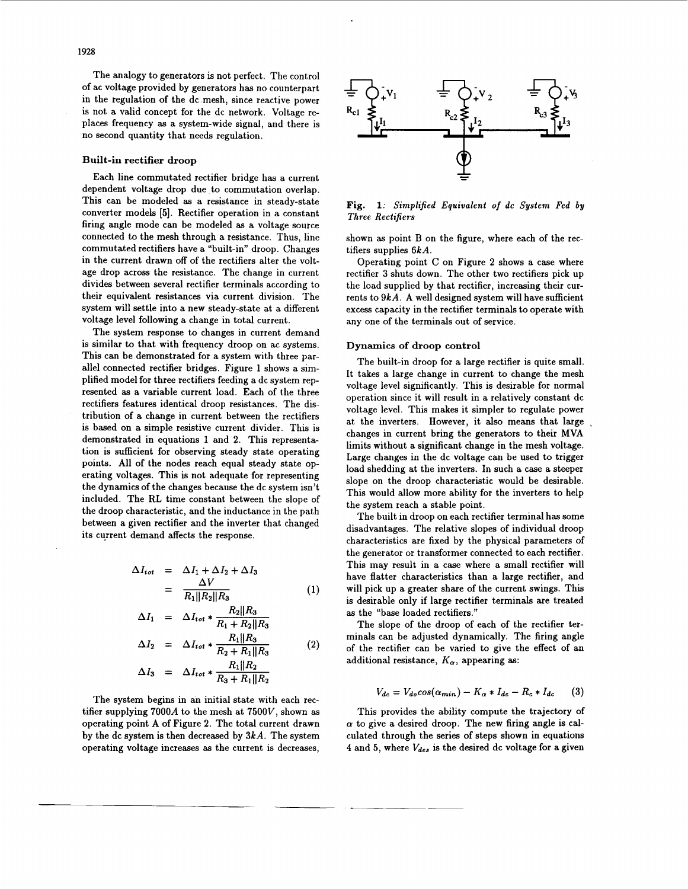The analogy to generators is not perfect. The control of ac voltage provided by generators has no counterpart in the regulation of the dc mesh, since reactive power is not a valid concept for the dc network. Voltage replaces frequency **as** a system-wide signal, and there is no second quantity that needs regulation.

#### **Built-in rectifier droop**

Each line commutated rectifier bridge has a current dependent voltage drop due to commutation overlap. This can be modeled **as** a resistance in steady-state converter models *[5].* Rectifier operation in a constant firing angle mode can be modeled **as** a voltage source connected to the mesh through a resistance. Thus, line commutated rectifiers have a "built-in" droop. Changes in the current drawn off of the rectifiers alter the voltage drop across the resistance. The change in current divides between several rectifier terminals according to their equivalent resistances via current division. The system will settle into a new steady-state at a different voltage level following a change in total current.

The system response to changes in current demand is similar to that with frequency droop on ac systems. This can be demonstrated for a system with three parallel connected rectifier bridges. Figure 1 shows a simplified model for three rectifiers feeding a dc system represented **as** a variable current load. Each of the three rectifiers features identical droop resistances. The distribution of a change in current between the rectifiers is based on a simple resistive current divider. This is demonstrated in equations 1 and **2.** This representation is sufficient for observing steady state operating points. All of the nodes reach equal steady state operating voltages. This is not adequate for representing the dynamics of the changes because the dc system isn't included. The RL time constant between the slope of the droop characteristic, and the inductance in the path between a given rectifier and the inverter that changed its current demand affects the response.

$$
\Delta I_{tot} = \Delta I_1 + \Delta I_2 + \Delta I_3
$$
  
= 
$$
\frac{\Delta V}{R_1 ||R_2|| R_3}
$$
 (1)

$$
\Delta I_1 = \Delta I_{tot} * \frac{R_2 || R_3}{R_1 + R_2 || R_3}
$$
  
\n
$$
\Delta I_2 = \Delta I_{tot} * \frac{R_1 || R_3}{R_2 + R_1 || R_3}
$$
 (2)

$$
\Delta I_3 = \Delta I_{tot} * \frac{R_1 || R_2}{R_3 + R_1 || R_2}
$$

The system begins in an initial state with each rectifier supplying **7000A** to the mesh at **7500V,** shown **as**  operating point A of Figure **2.** The total current drawn by the dc system is then decreased by *3kA.* The system operating voltage increases **as** the current is decreases,



**Fig. 1:** *Simplified Equivalent of dc System Fed* by *Three Rectifiers* 

shown **as** point B on the figure, where each of the rectifiers supplies *6kA.* 

Operating point C on Figure 2 shows a case where rectifier 3 shuts down. The other two rectifiers pick up the load supplied by that rectifier, increasing their currents to *9kA.* A well designed system will have sufficient excess capacity in the rectifier terminals to operate with any one of the terminals out of service.

## **Dynamics of droop control**

The built-in droop for a large rectifier is quite small. It takes a large change in current to change the mesh voltage level significantly. This is desirable for normal operation since it will result in a relatively constant dc voltage level. This makes it simpler to regulate power at the inverters. However, it also means that large , changes in current bring the generators to their MVA limits without a significant change in the mesh voltage. Large changes in the dc voltage can be used to trigger load shedding at the inverters. In such a case a steeper slope on the droop characteristic would be desirable. This would allow more ability for the inverters to help the system reach a stable point.

The built in droop on each rectifier terminal has some disadvantages. The relative slopes of individual droop characteristics are fixed by the physical parameters of the generator or transformer connected to each rectifier. This may result in a case where a small rectifier will have flatter characteristics than a large rectifier, and will pick up a greater share of the current swings. This is desirable only if large rectifier terminals are treated **as** the "base loaded rectifiers."

The slope of the droop of each of the rectifier terminals can be adjusted dynamically. The firing angle of the rectifier can be varied to give the effect of an additional resistance,  $K_{\alpha}$ , appearing as:

$$
V_{dc} = V_{do} \cos(\alpha_{min}) - K_{\alpha} * I_{dc} - R_c * I_{dc} \qquad (3)
$$

This provides the ability compute the trajectory of  $\alpha$  to give a desired droop. The new firing angle is calculated through the series of steps shown in equations  $4$  and  $5$ , where  $V_{des}$  is the desired dc voltage for a given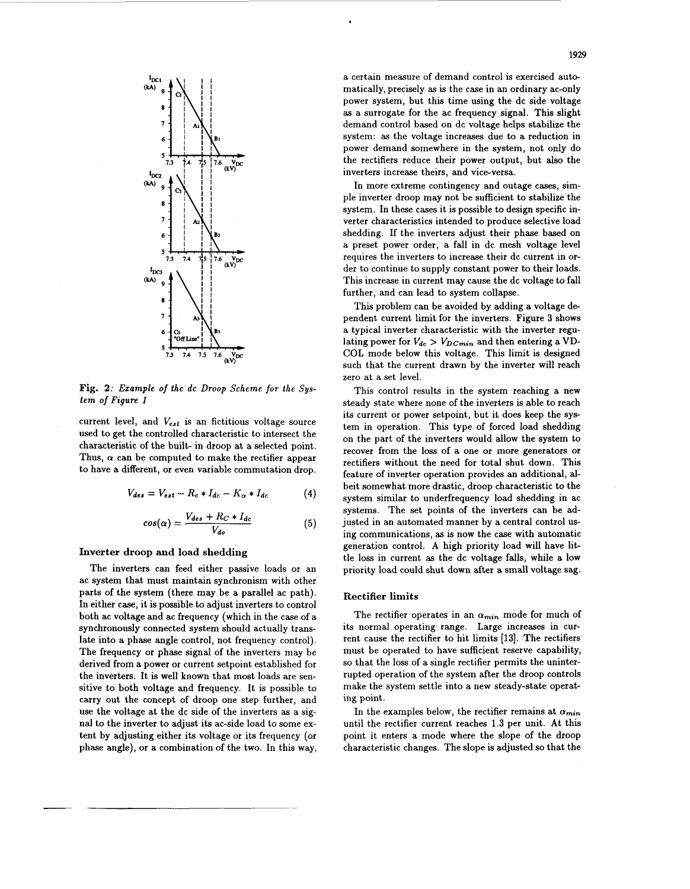

**Fig. 2:** *Example* of *the dc Droop Scheme for the* **Sys***tem of Figure 1* 

current level, and *Vest* is an fictitious voltage source used to get the controlled characteristic to intersect the characteristic of the built- in droop at a selected point. Thus,  $\alpha$  can be computed to make the rectifier appear to have a different, or even variable commutation drop.

$$
V_{des} = V_{est} - R_c * I_{dc} - K_{\alpha} * I_{dc} \tag{4}
$$

$$
cos(\alpha) = \frac{V_{des} + R_C * I_{dc}}{V_{do}}
$$
 (5)

# **Inverter droop and load shedding**

The inverters can feed either passive loads or an ac system that must maintain synchronism with other parts of the system (there may be a parallel ac path). In either case, it is possible to adjust inverters to control both ac voltage and ac frequency (which in the case of a synchronously connected system should actually translate into a phase angle control, not frequency control). The frequency or phase signal of the inverters may be derived from a power or current setpoint established for the inverters. It is well known that most loads are sensitive to both voltage and frequency. It is possible to carry out the concept of droop one step further, and use the voltage at the dc side of the inverters **as** a signal to the inverter to adjust its ac-side load to some extent by adjusting either its voltage or its frequency (or phase angle), or a combination of the two. In this way,

a certain measure of demand control is exercised automatically, precisely **as** is the case in an ordinary ac-only power system, but this time using the dc side voltage **as** a surrogate for the ac frequency signal. This slight demand control based on dc voltage helps stabilize the system: **as** the voltage increases due to a reduction in power demand somewhere in the system, not only do the rectifiers reduce their power output, but also the inverters increase theirs, and vice-versa.

In more extreme contingency and outage cases, simple inverter droop may not be sufficient to stabilize the system. In these cases it is possible to design specific inverter characteristics intended to produce selective load shedding. If the inverters adjust their phase based on a preset power order, a fall in dc mesh voltage level requires the inverters to increase their dc current in order to continue to supply constant power to their loads. This increase in current may cause the dc voltage to fall further, and can lead to system collapse.

This problem can be avoided by adding a voltage dependent current limit for the inverters. Figure 3 shows a typical inverter characteristic with the inverter regulating power for  $V_{dc} > V_{DC,min}$  and then entering a VD-COL mode below this voltage. This limit is designed such that the current drawn by the inverter will reach zero at a set level.

This control results in the system reaching a new steady state where none of the inverters is able to reach its current or power setpoint, but it does keep the sys tem in operation. This type of forced load shedding on the part of the inverters would allow the system to recover from the loss of a one or more generators or rectifiers without the need for total shut down. This feature of inverter operation provides an additional, albeit somewhat more drastic, droop characteristic to the system similar to underfrequency load shedding in ac systems. The set points of the inverters can be adjusted in an automated manner by a central control using communications, **as** is now the case with automatic generation control. A high priority load will have little loss in current **as** the dc voltage falls, while a low priority load could shut down after a small voltage sag.

#### **Rectifier limits**

The rectifier operates in an  $\alpha_{min}$  mode for much of its normal operating range. Large increases in current cause the rectifier to hit limits **[13].** The rectifiers must be operated to have sufficient reserve capability, so that the loss of a single rectifier permits the uninterrupted operation of the system after the droop controls make the system settle into a new steady-state operating point.

In the examples below, the rectifier remains at  $\alpha_{min}$ until the rectifier current reaches 1.3 per unit. At this point it enters a mode where the slope of the droop characteristic changes. The slope is adjusted so that the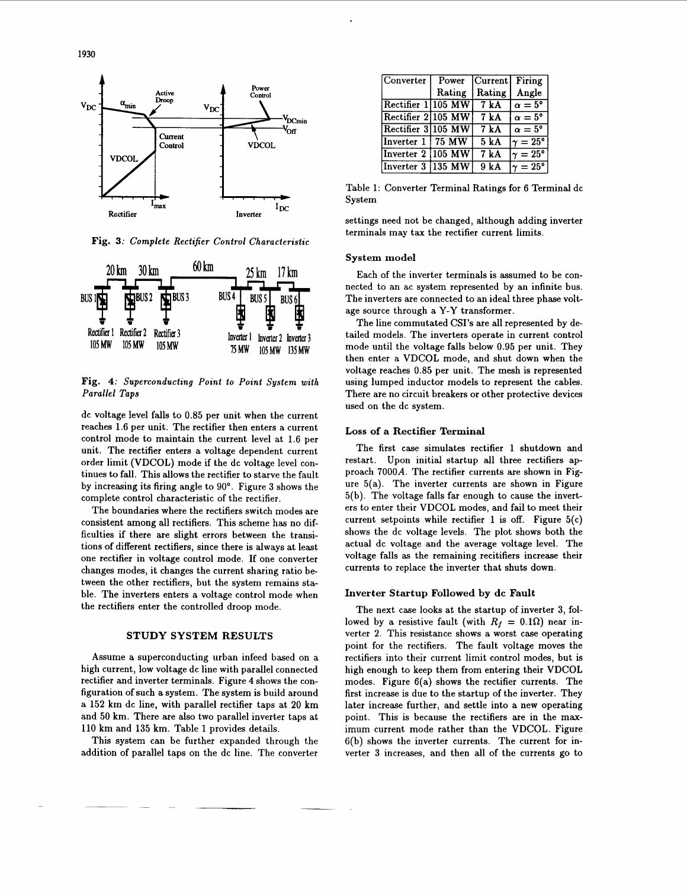

**Fig. 3:** *Complete Rectifier Control Characteristic* 



**Fig. 4:** *Superconducting Point to Point System with Parallel Taps* 

dc voltage level falls to **0.85** per unit when the current reaches **1.6** per unit. The rectifier then enters a current control mode to maintain the current level at **1.6** per unit. The rectifier enters a voltage dependent current order limit (VDCOL) mode if the dc voltage level continues to fall. This allows the rectifier to starve the fault by increasing its firing angle to **90".** Figure **3** shows the complete control characteristic of the rectifier.

The boundaries where the rectifiers switch modes are consistent among all rectifiers. This scheme has no difficulties if there are slight errors between the transitions of different rectifiers, since there is always at least one rectifier in voltage control mode. If one converter changes modes, it changes the current sharing ratio between the other rectifiers, but the system remains stable. The inverters enters a voltage control mode when the rectifiers enter the controlled droop mode.

### **STUDY SYSTEM RESULTS**

Assume a superconducting urban infeed based on a high current, low voltage dc line with parallel connected rectifier and inverter terminals. Figure **4** shows the configuration of such a system. The system is build around a **152** km dc line, with parallel rectifier taps at **20** km and **50** km. There are also two parallel inverter taps at **110** km and **135** km. Table **1** provides details.

This system can be further expanded through the addition of parallel taps on the dc line. The converter

| Converter            | Power  | Current Firing    |                       |
|----------------------|--------|-------------------|-----------------------|
|                      | Rating | Rating            | Angle                 |
| Rectifier 1 105 MW   |        | $\overline{7}$ kA | $\alpha = 5^{\circ}$  |
| Rectifier 2 105 MW   |        | 7 kA              | $\alpha = 5^{\circ}$  |
| Rectifier $3 105$ MW |        | 7 kA              | $\alpha = 5^{\circ}$  |
| Inverter 1   75 MW   |        | 5 kA              | $ \gamma=25^\circ$    |
| Inverter 2 105 MW    |        | 7 k A             | $\gamma = 25^{\circ}$ |
| Inverter $3 135$ MW  |        | 9 k.A             | l $\gamma=25^\circ$   |

Table **1:** Converter Terminal Ratings for 6 Terminal dc System

settings need not be changed, although adding inverter terminals may tax the rectifier current limits.

## **System model**

Each of the inverter terminals is assumed to be connected to an ac system represented by an infinite bus. The inverters are connected to an ideal three phase voltage source through a Y-Y transformer.

The line commutated CSI's are all represented by detailed models. The inverters operate in current control mode until the voltage falls below **0.95** per unit. They then enter a VDCOL mode, and shut down when the voltage reaches **0.85** per unit. The mesh is represented using lumped inductor models to represent the cables. There are no circuit breakers or other protective devices used on the dc system.

#### **Loss of a Rectifier Terminal**

The first case simulates rectifier **1** shutdown and restart. Upon initial startup all three rectifiers approach *7000A.* The rectifier currents are shown in Figure **5(a).** The inverter currents are shown in Figure 5(b). The voltage falls far enough to cause the inverters to enter their VDCOL modes, and fail to meet their current setpoints while rectifier **1** is off. Figure **5(c)**  shows the dc voltage levels. The plot shows both the actual dc voltage and the average voltage level. The voltage falls **as** the remaining recitifiers increase their currents to replace the inverter that shuts down.

#### **Inverter Startup Followed by dc Fault**

The next case looks at the startup of inverter **3,** followed by a resistive fault (with  $R_f = 0.1\Omega$ ) near inverter **2.** This resistance shows a worst case operating point for the rectifiers. The fault voltage moves the rectifiers into their current limit control modes, but is high enough to keep them from entering their VDCOL modes. Figure 6(a) shows the rectifier currents. The first increase is due to the startup of the inverter. They later increase further, and settle into a new operating point. This is because the rectifiers are in the maximum current mode rather than the VDCOL. Figure 6(b) shows the inverter currents. The current for inverter **3** increases, and then all of the currents go to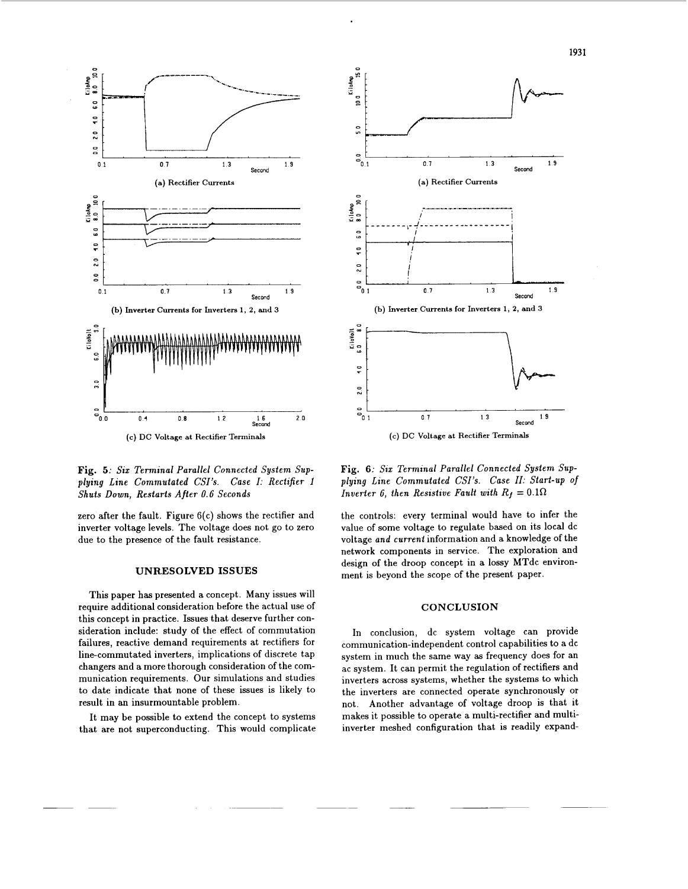



**Fig.** *5: Six Terminal Parallel Connected System supplying Line Commutated CSI's. Case I: Rectifier 1 Shuts Down, Restarts After 0.6 Seconds* 

zero after the fault. Figure  $6(c)$  shows the rectifier and inverter voltage levels. The voltage does not go to zero due to the presence of the fault resistance.

# **UNRESOLVED ISSUES**

This paper has presented a concept. Many issues will require additional consideration before the actual use of this concept in practice. Issues that deserve further consideration include: study of the effect of commutation failures, reactive demand requirements at rectifiers for line-commutated inverters, implications of discrete tap changers and a more thorough consideration of the communication requirements. Our simulations and studies to date indicate that none of these issues is likely to result in an insurmountable problem.

It may be possible to extend the concept to systems that are not superconducting. This would complicate

-

**Fig. 6:** *Six Terminal Parallel Connected System supplying Line Commutated CSI's. Case 11: Start-up* of *Inverter 6, then Resistive Fault with*  $R_f = 0.1\Omega$ 

the controls: every terminal would have to infer the value of some voltage to regulate based on its local dc voltage *and current* information and a knowledge of the network components in service. The exploration and design of the droop concept in a lossy MTdc environment is beyond the scope of the present paper.

#### **CONCLUSION**

In conclusion, dc system voltage can provide communication-independent control capabilities to a dc system in much the same way **as** frequency does for an ac system. It can permit the regulation of rectifiers and inverters across systems, whether the systems to which the inverters are connected operate synchronously or not. Another advantage of voltage droop is that it makes it possible to operate a multi-rectifier and multiinverter meshed configuration that is readily expand